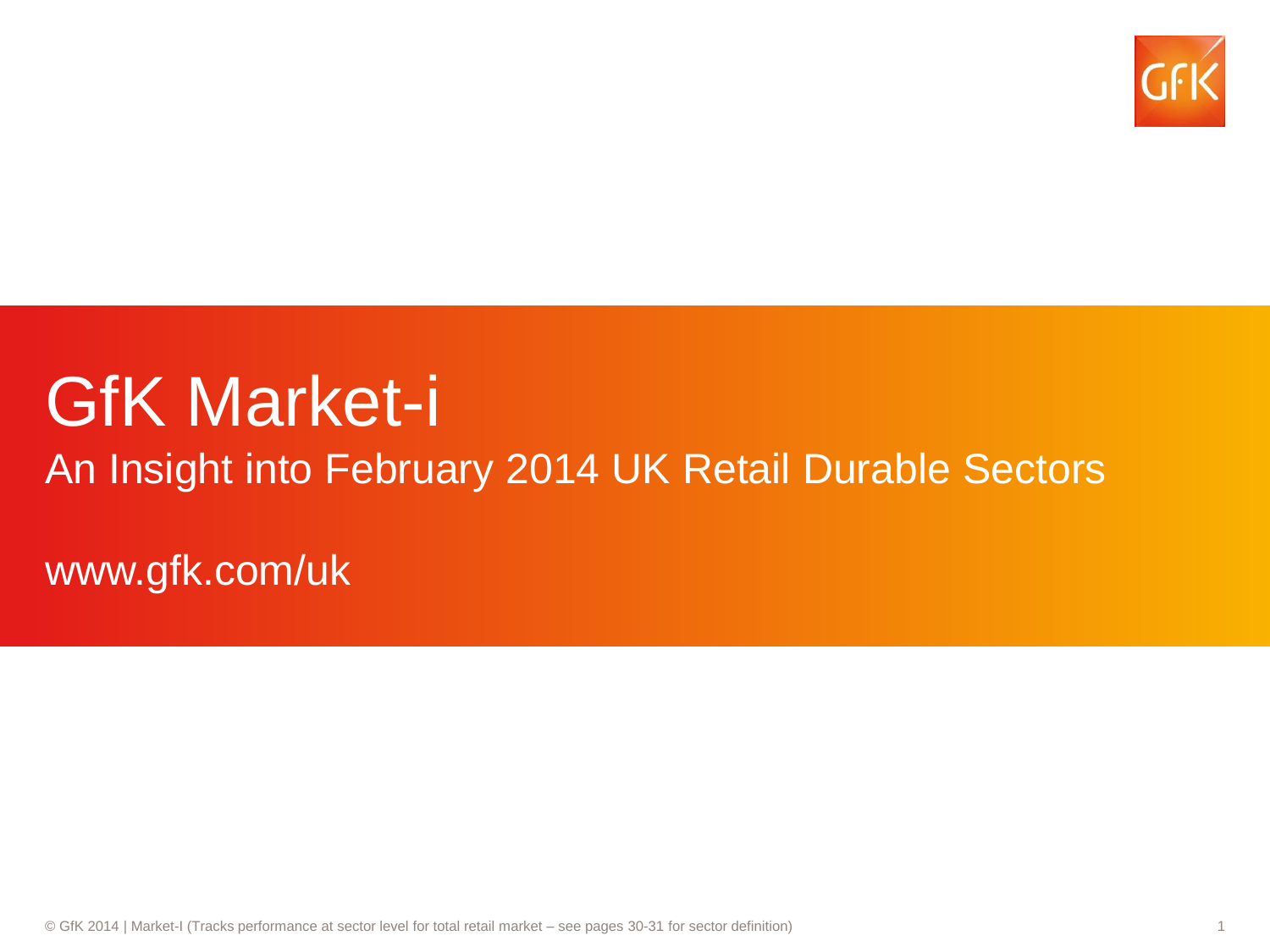

# GfK Market-i

An Insight into February 2014 UK Retail Durable Sectors

www.gfk.com/uk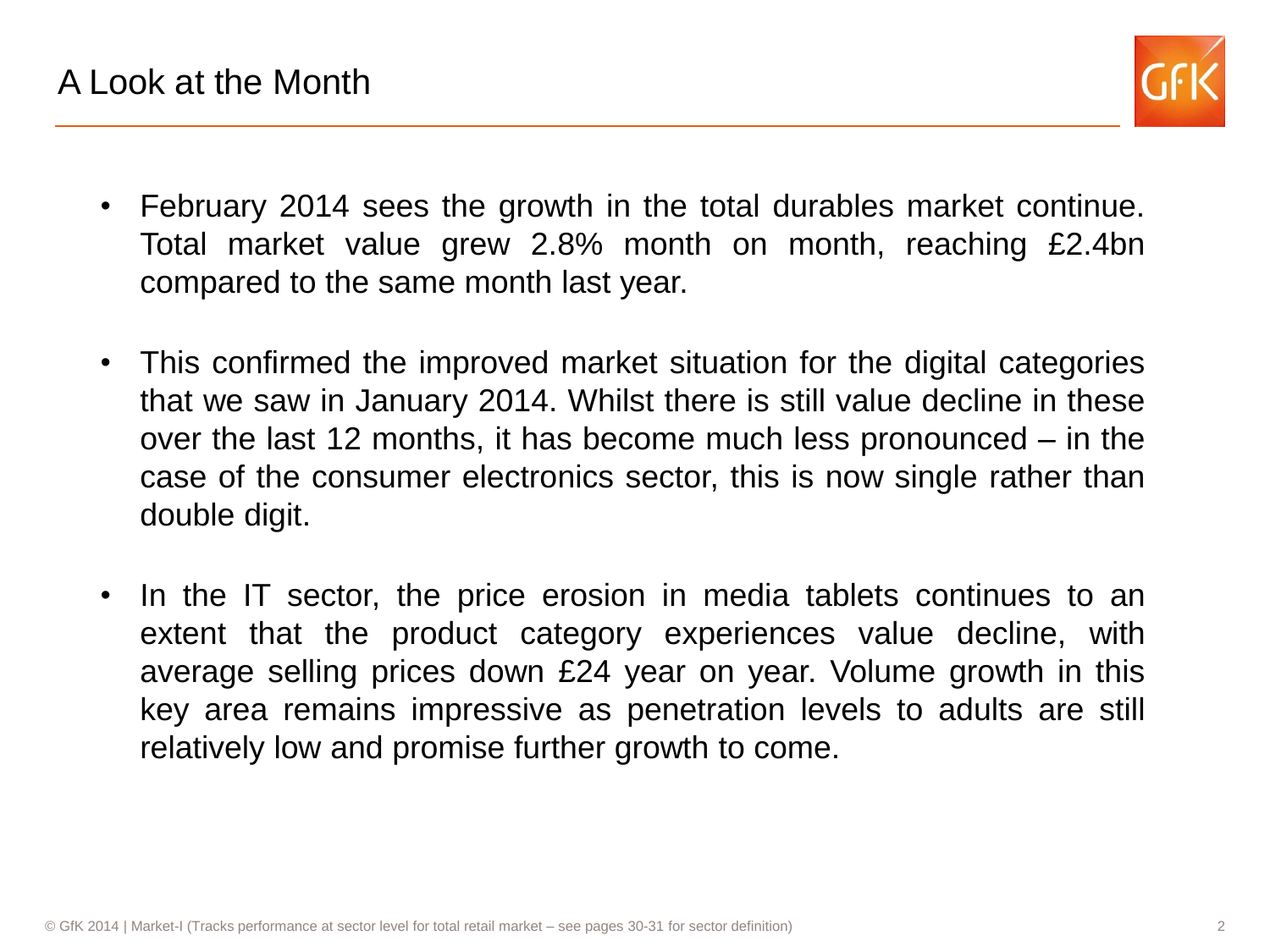

- February 2014 sees the growth in the total durables market continue. Total market value grew 2.8% month on month, reaching £2.4bn compared to the same month last year.
- This confirmed the improved market situation for the digital categories that we saw in January 2014. Whilst there is still value decline in these over the last 12 months, it has become much less pronounced – in the case of the consumer electronics sector, this is now single rather than double digit.
- In the IT sector, the price erosion in media tablets continues to an extent that the product category experiences value decline, with average selling prices down £24 year on year. Volume growth in this key area remains impressive as penetration levels to adults are still relatively low and promise further growth to come.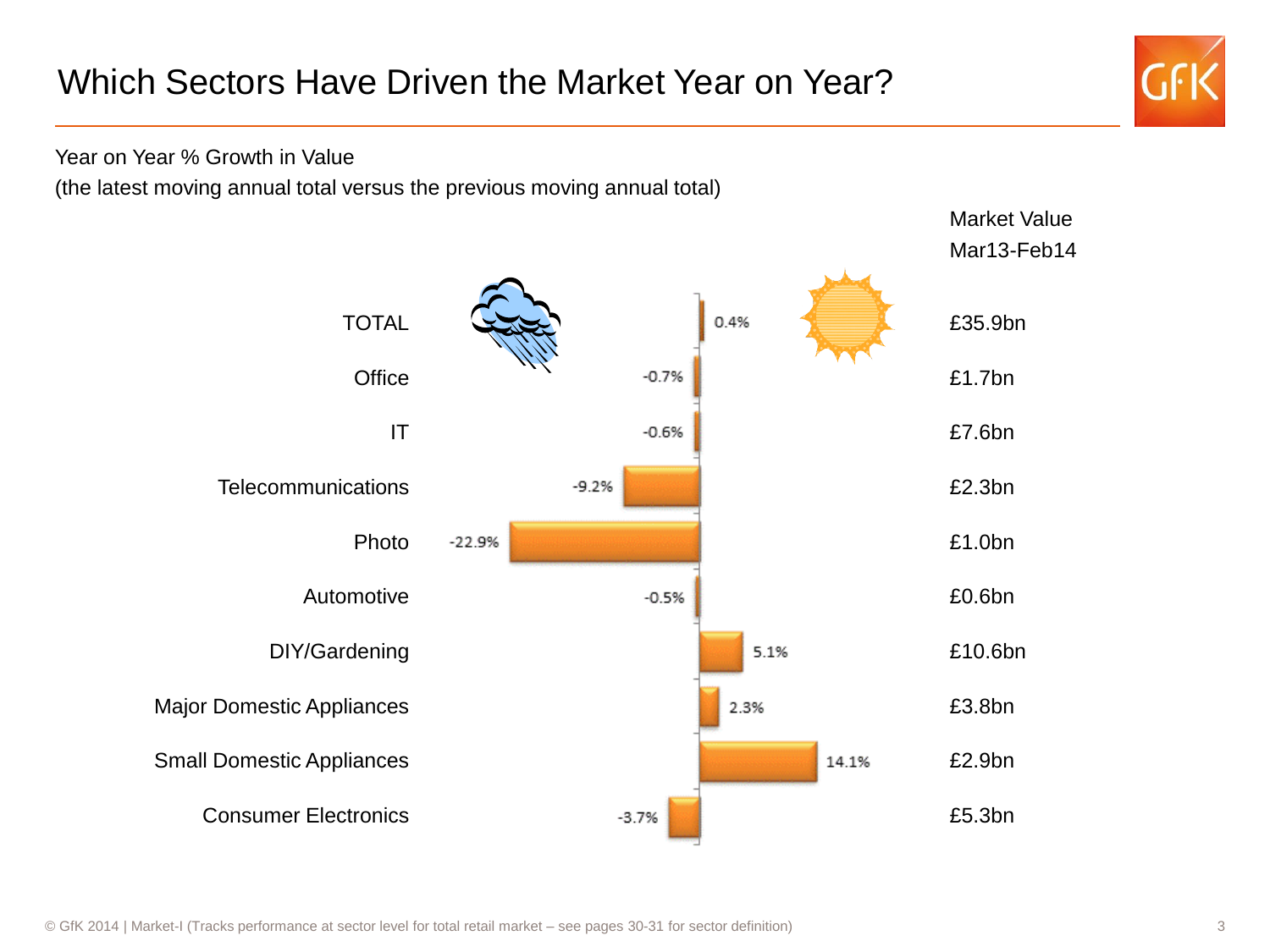

Year on Year % Growth in Value

(the latest moving annual total versus the previous moving annual total)

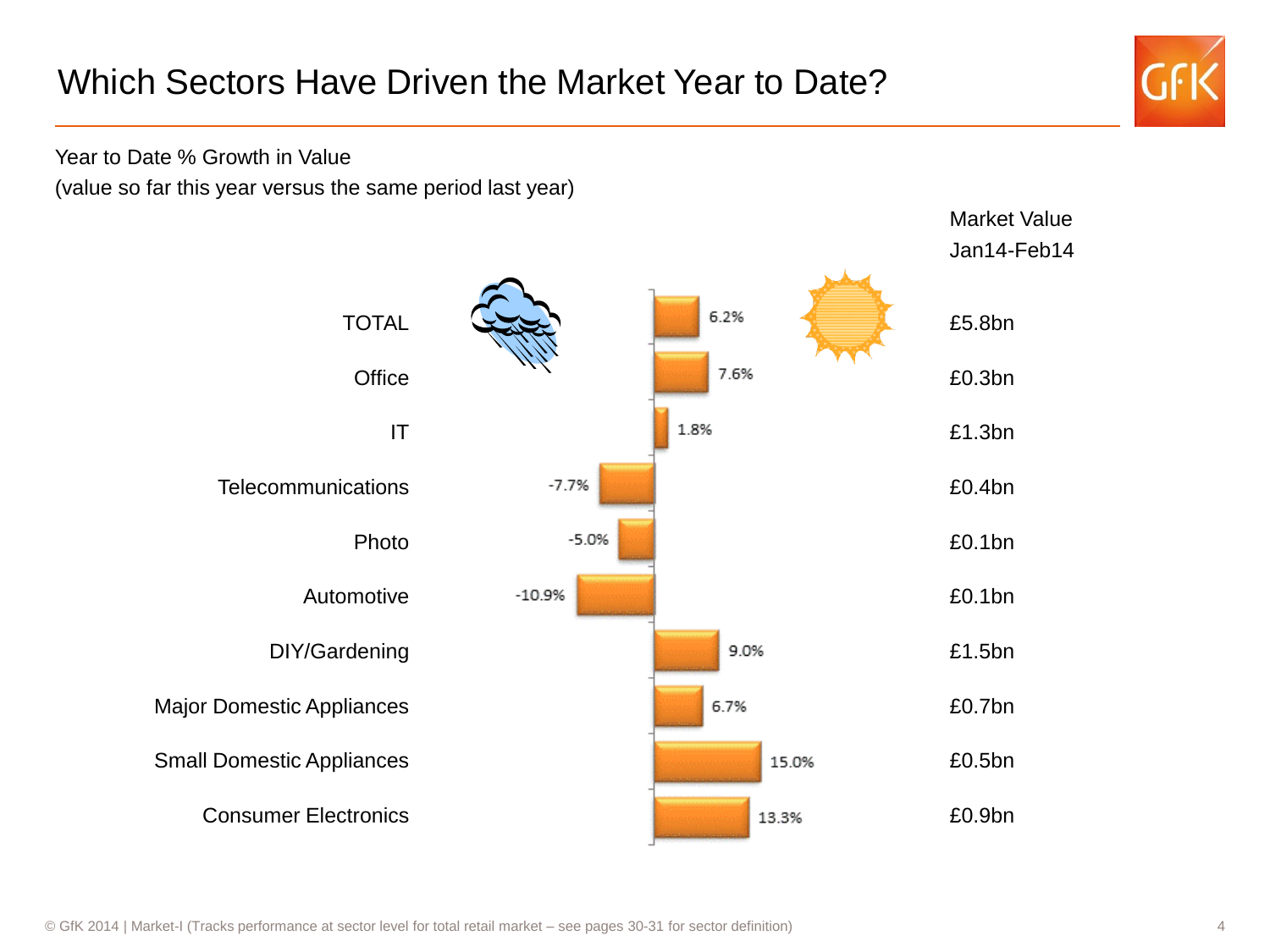## Which Sectors Have Driven the Market Year to Date?



Year to Date % Growth in Value

(value so far this year versus the same period last year)

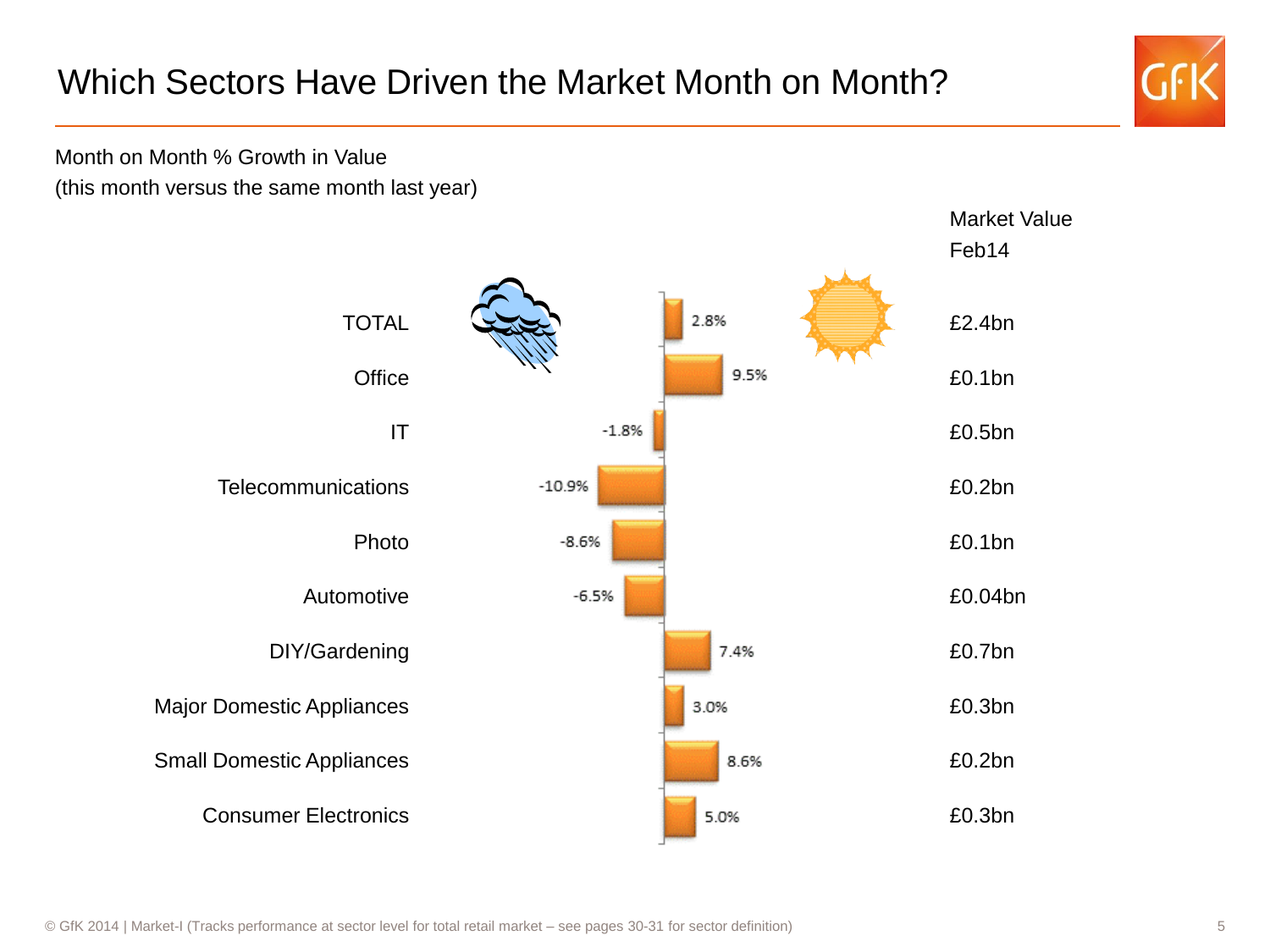

Month on Month % Growth in Value (this month versus the same month last year)

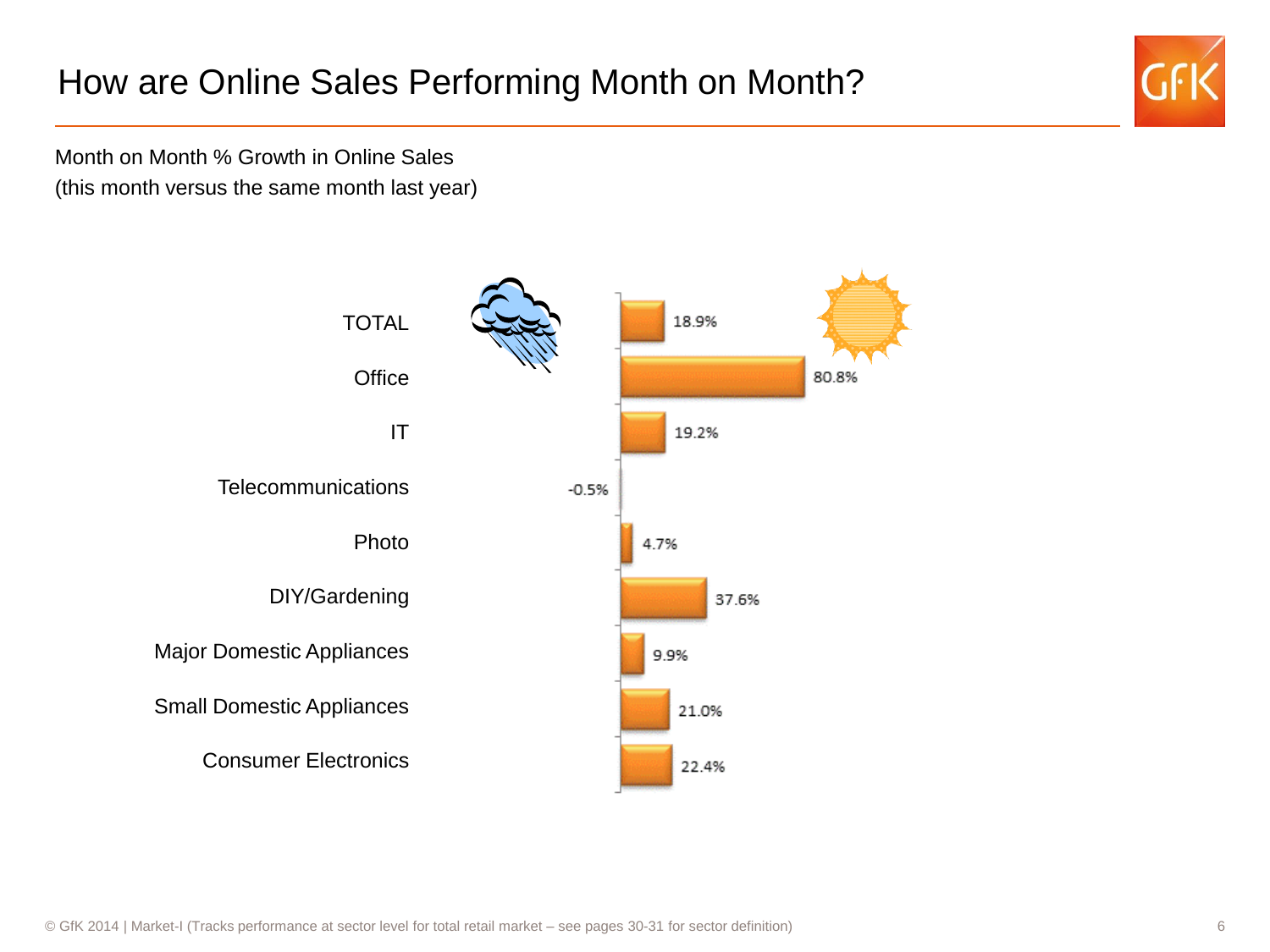## How are Online Sales Performing Month on Month?



Month on Month % Growth in Online Sales (this month versus the same month last year)

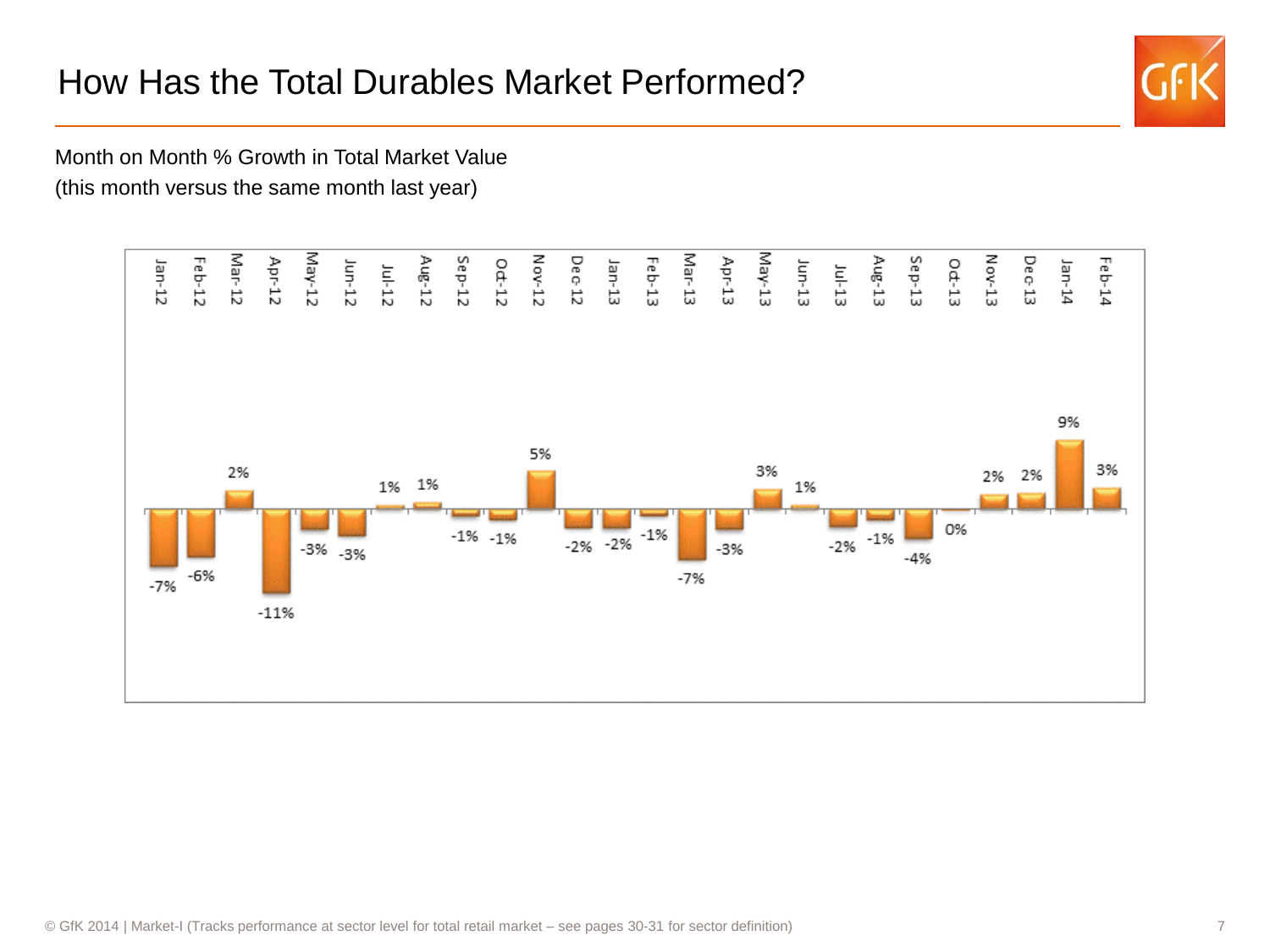## How Has the Total Durables Market Performed?



Month on Month % Growth in Total Market Value (this month versus the same month last year)

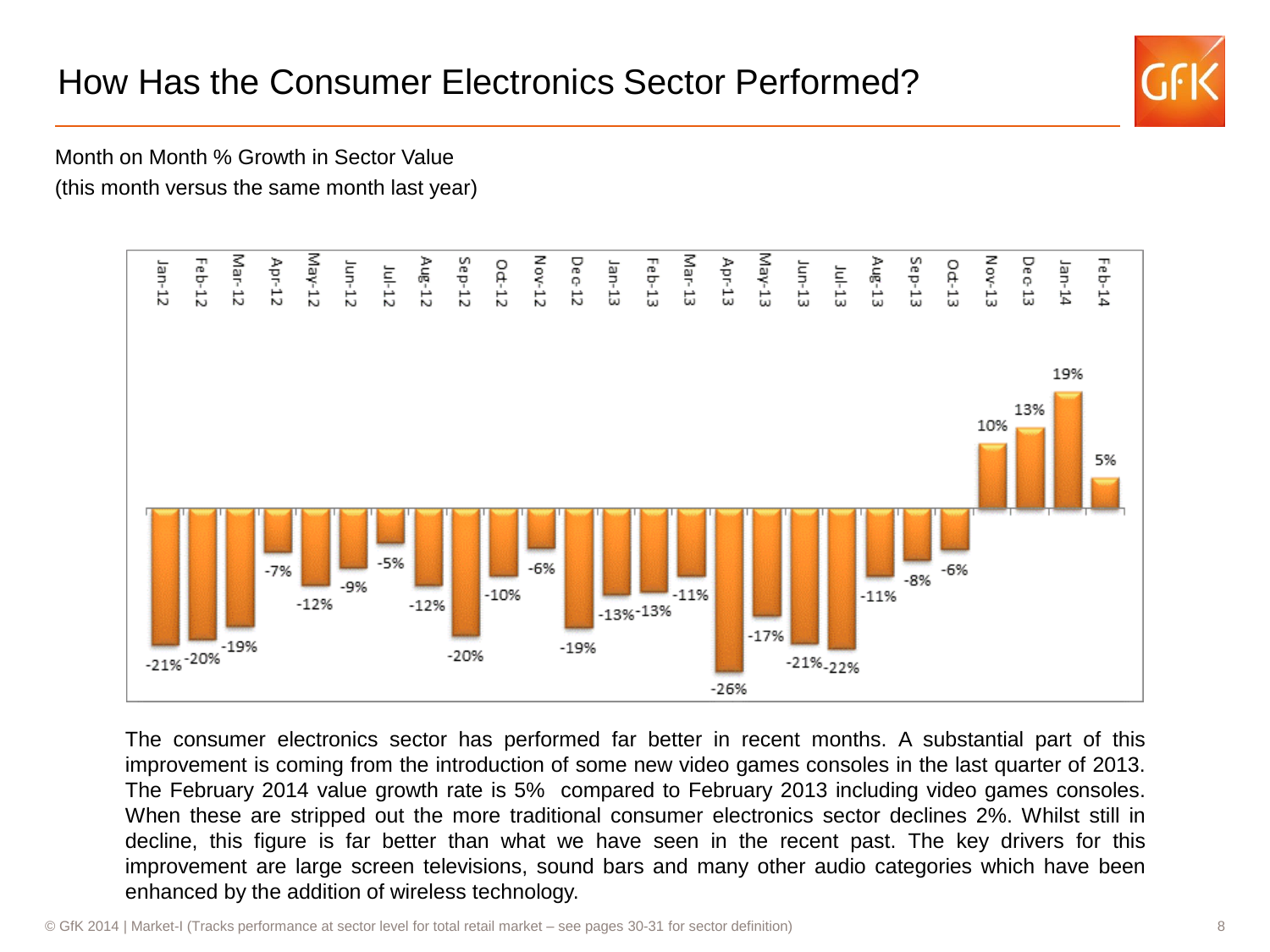## How Has the Consumer Electronics Sector Performed?



Month on Month % Growth in Sector Value (this month versus the same month last year)



The consumer electronics sector has performed far better in recent months. A substantial part of this improvement is coming from the introduction of some new video games consoles in the last quarter of 2013. The February 2014 value growth rate is 5% compared to February 2013 including video games consoles. When these are stripped out the more traditional consumer electronics sector declines 2%. Whilst still in decline, this figure is far better than what we have seen in the recent past. The key drivers for this improvement are large screen televisions, sound bars and many other audio categories which have been enhanced by the addition of wireless technology.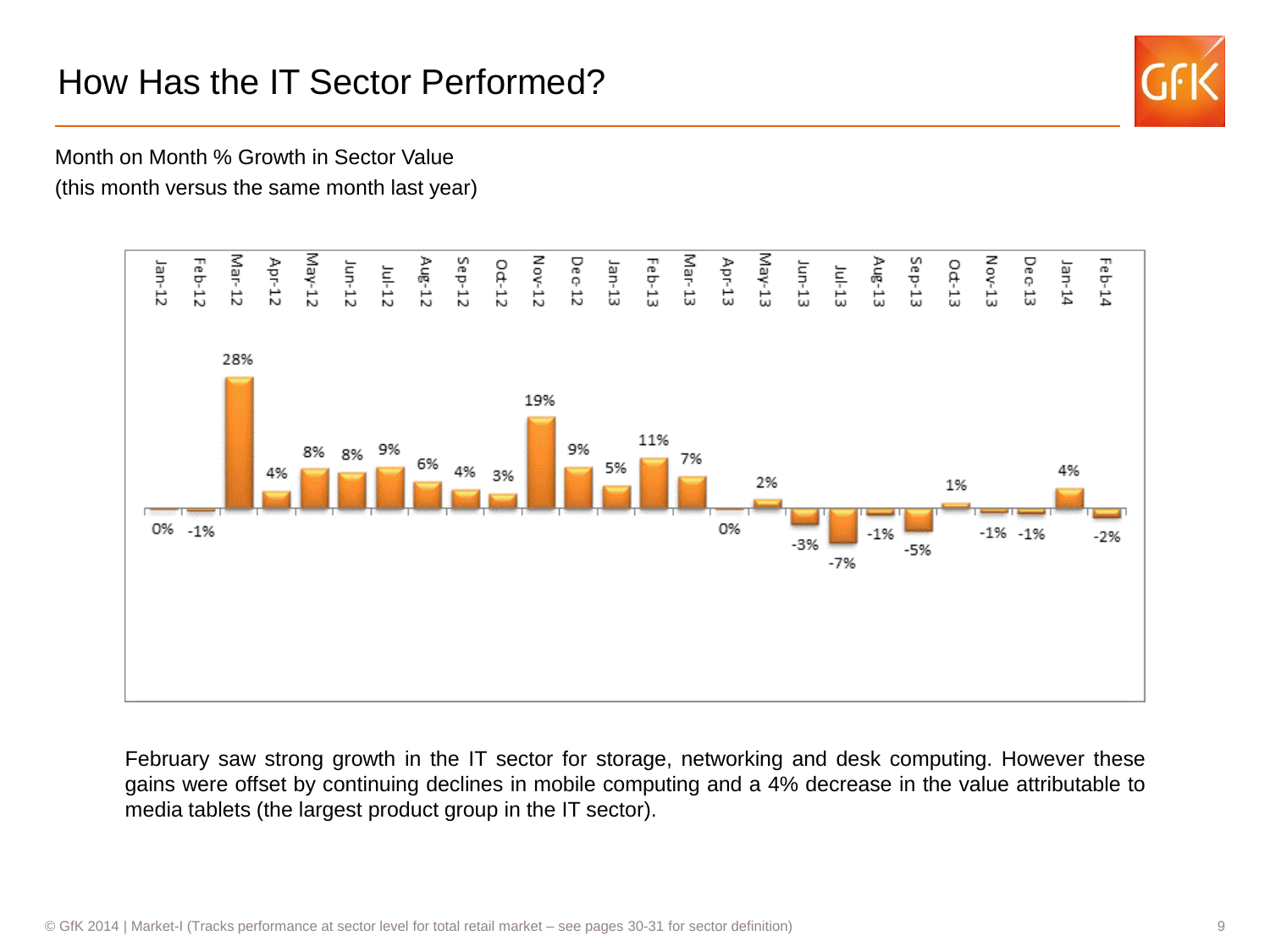## How Has the IT Sector Performed?



Month on Month % Growth in Sector Value (this month versus the same month last year)



February saw strong growth in the IT sector for storage, networking and desk computing. However these gains were offset by continuing declines in mobile computing and a 4% decrease in the value attributable to media tablets (the largest product group in the IT sector).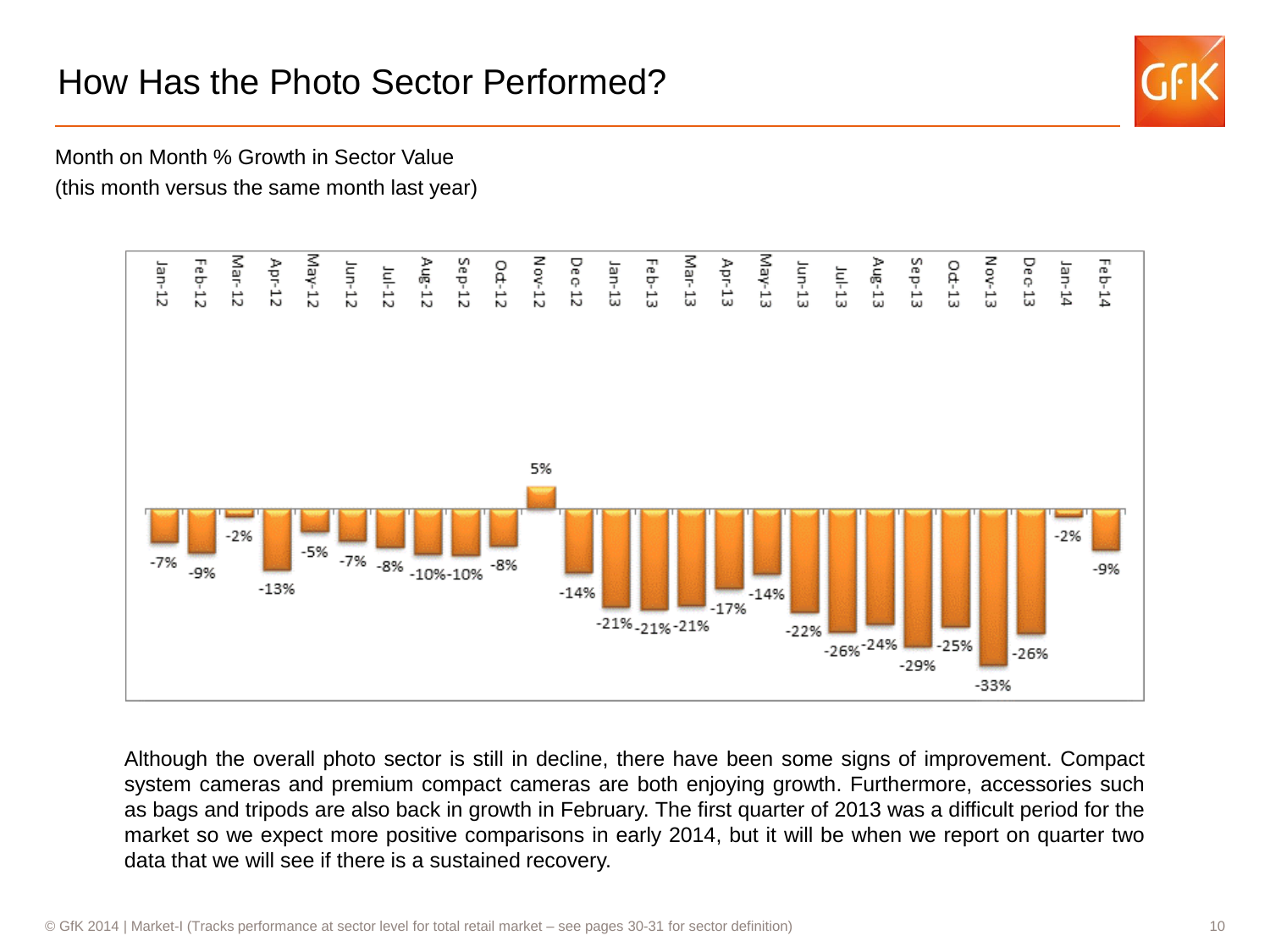## How Has the Photo Sector Performed?



Month on Month % Growth in Sector Value (this month versus the same month last year)



Although the overall photo sector is still in decline, there have been some signs of improvement. Compact system cameras and premium compact cameras are both enjoying growth. Furthermore, accessories such as bags and tripods are also back in growth in February. The first quarter of 2013 was a difficult period for the market so we expect more positive comparisons in early 2014, but it will be when we report on quarter two data that we will see if there is a sustained recovery.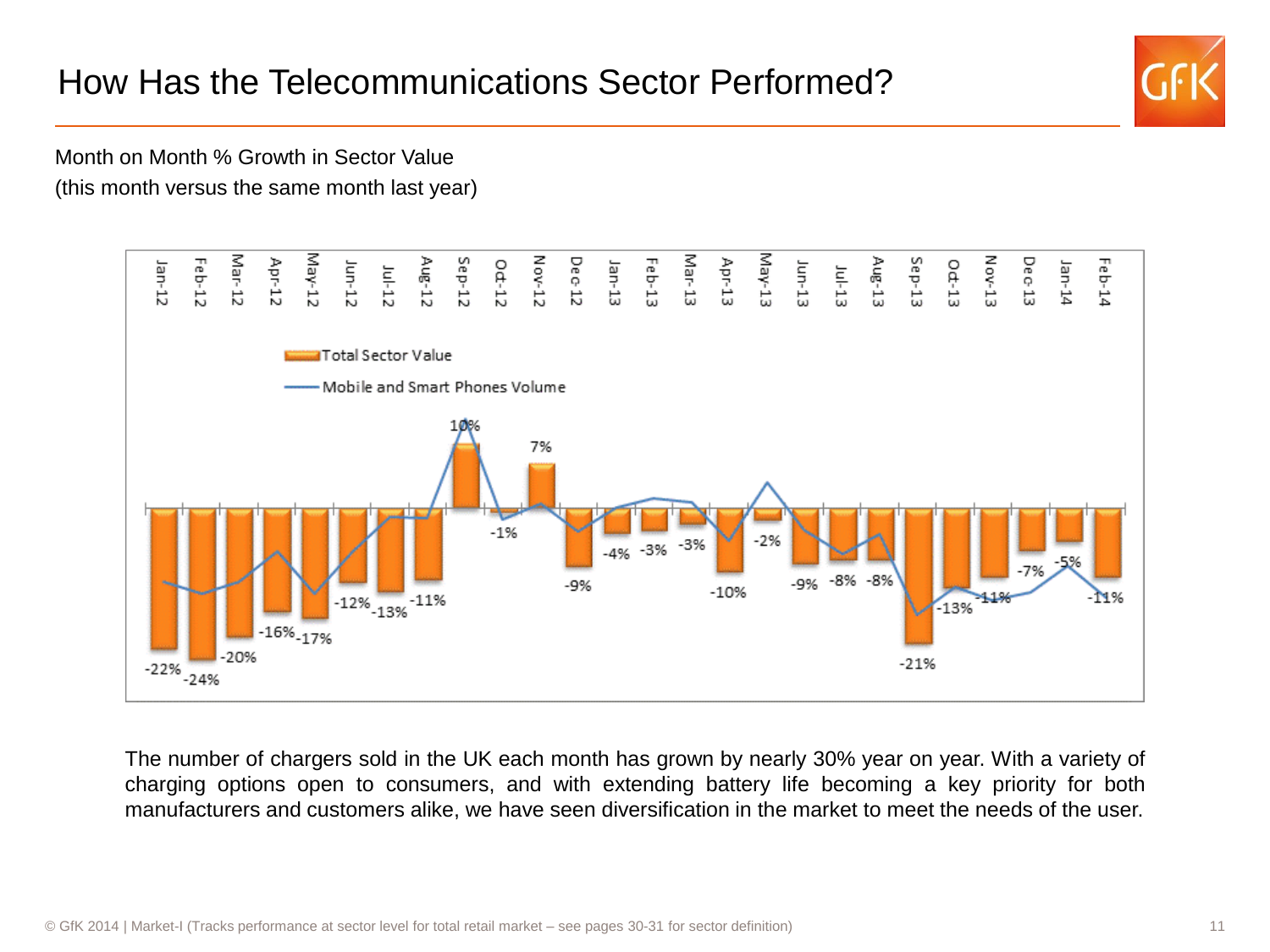## How Has the Telecommunications Sector Performed?



Month on Month % Growth in Sector Value (this month versus the same month last year)



The number of chargers sold in the UK each month has grown by nearly 30% year on year. With a variety of charging options open to consumers, and with extending battery life becoming a key priority for both manufacturers and customers alike, we have seen diversification in the market to meet the needs of the user.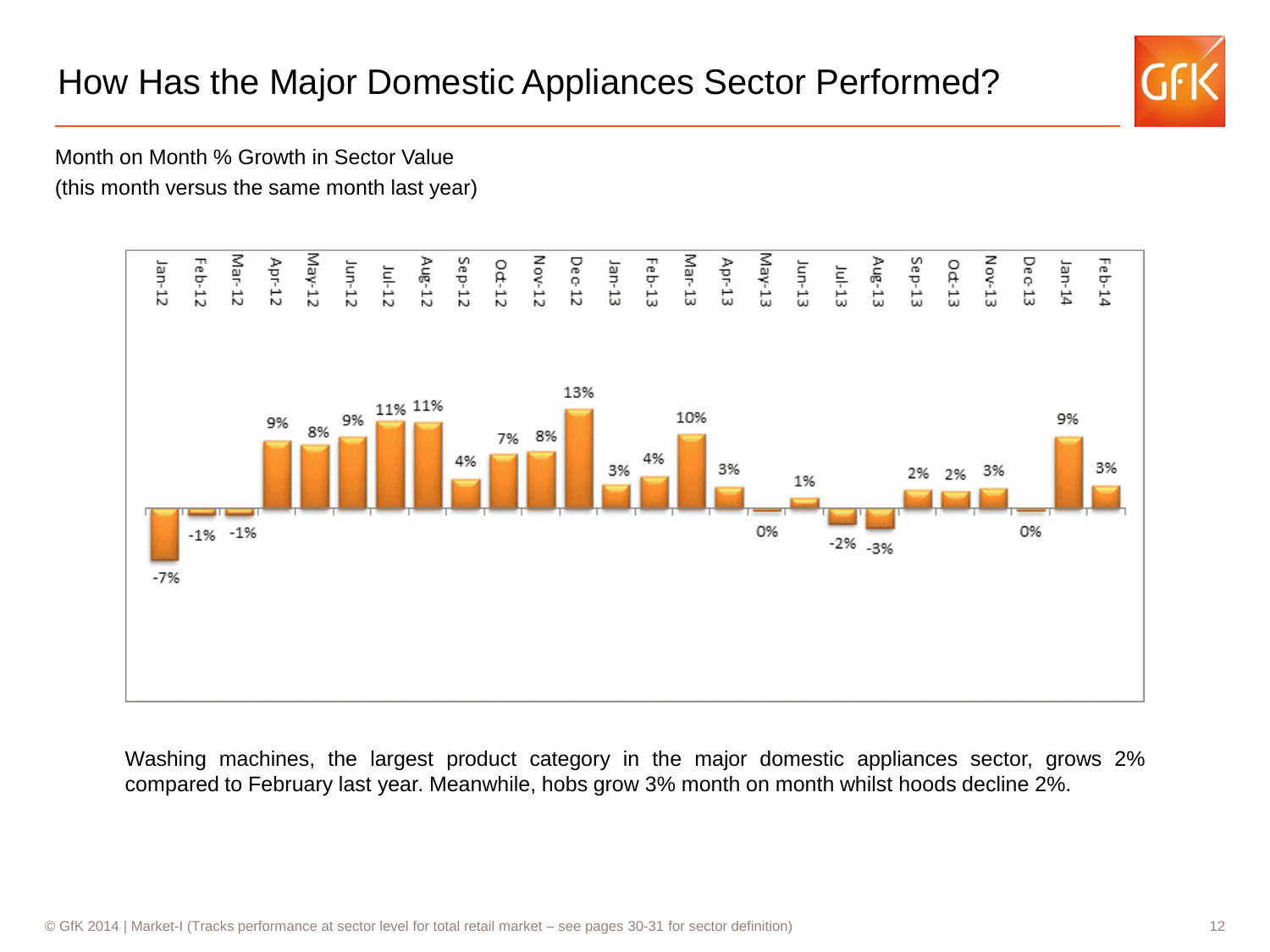## How Has the Major Domestic Appliances Sector Performed?



Month on Month % Growth in Sector Value (this month versus the same month last year)



Washing machines, the largest product category in the major domestic appliances sector, grows 2% compared to February last year. Meanwhile, hobs grow 3% month on month whilst hoods decline 2%.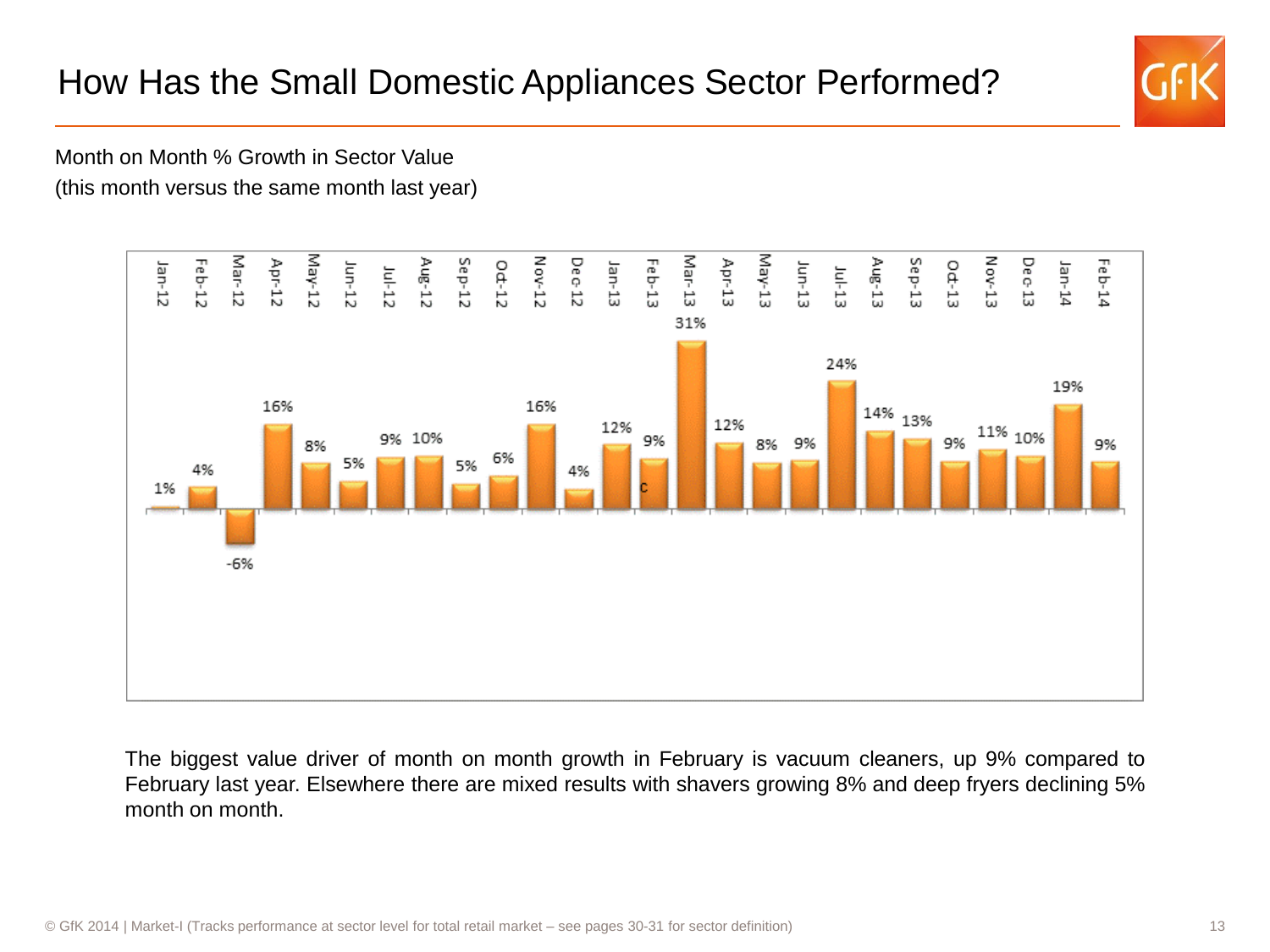## How Has the Small Domestic Appliances Sector Performed?



Month on Month % Growth in Sector Value (this month versus the same month last year)



The biggest value driver of month on month growth in February is vacuum cleaners, up 9% compared to February last year. Elsewhere there are mixed results with shavers growing 8% and deep fryers declining 5% month on month.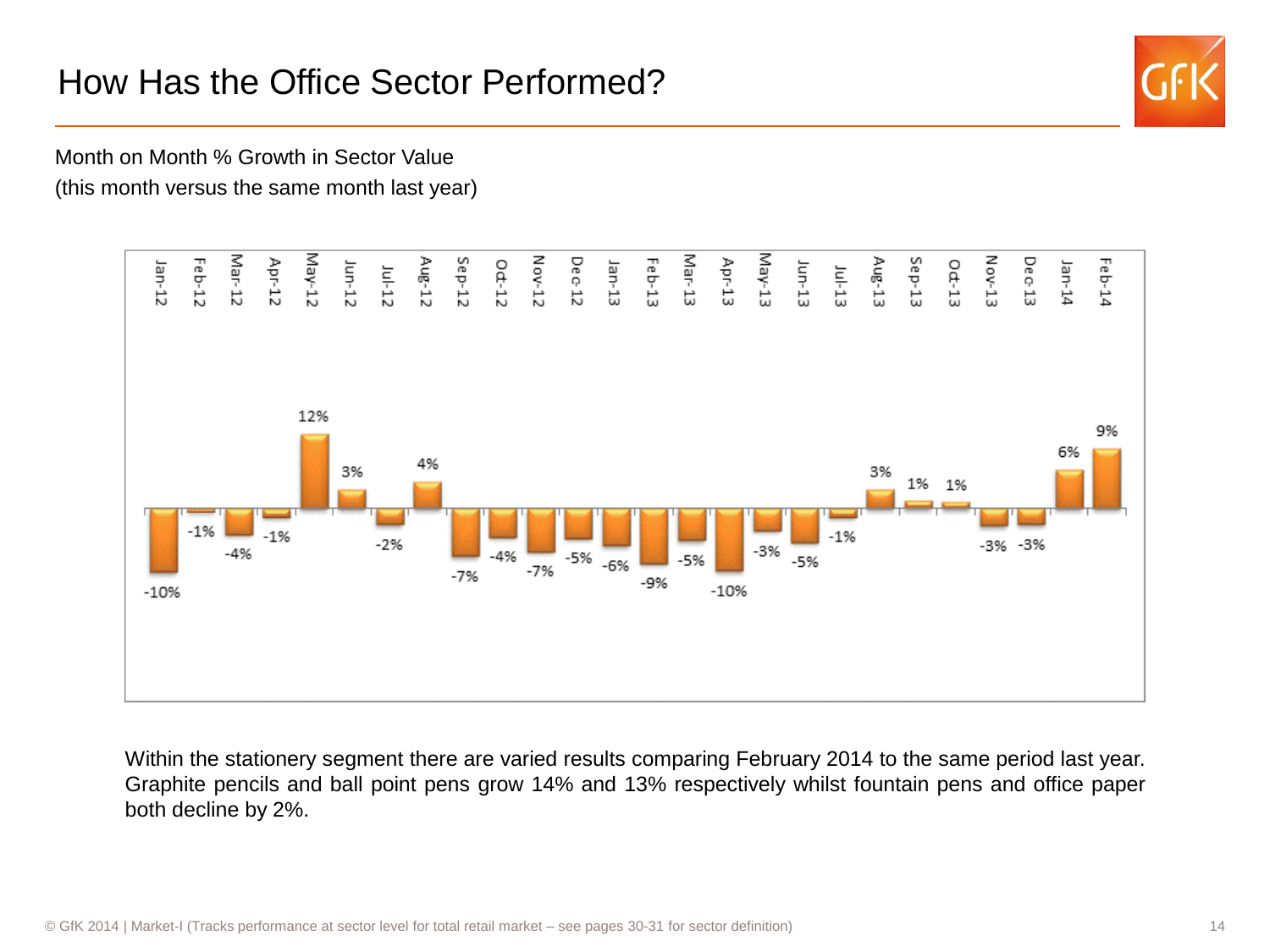## How Has the Office Sector Performed?



Month on Month % Growth in Sector Value (this month versus the same month last year)



Within the stationery segment there are varied results comparing February 2014 to the same period last year. Graphite pencils and ball point pens grow 14% and 13% respectively whilst fountain pens and office paper both decline by 2%.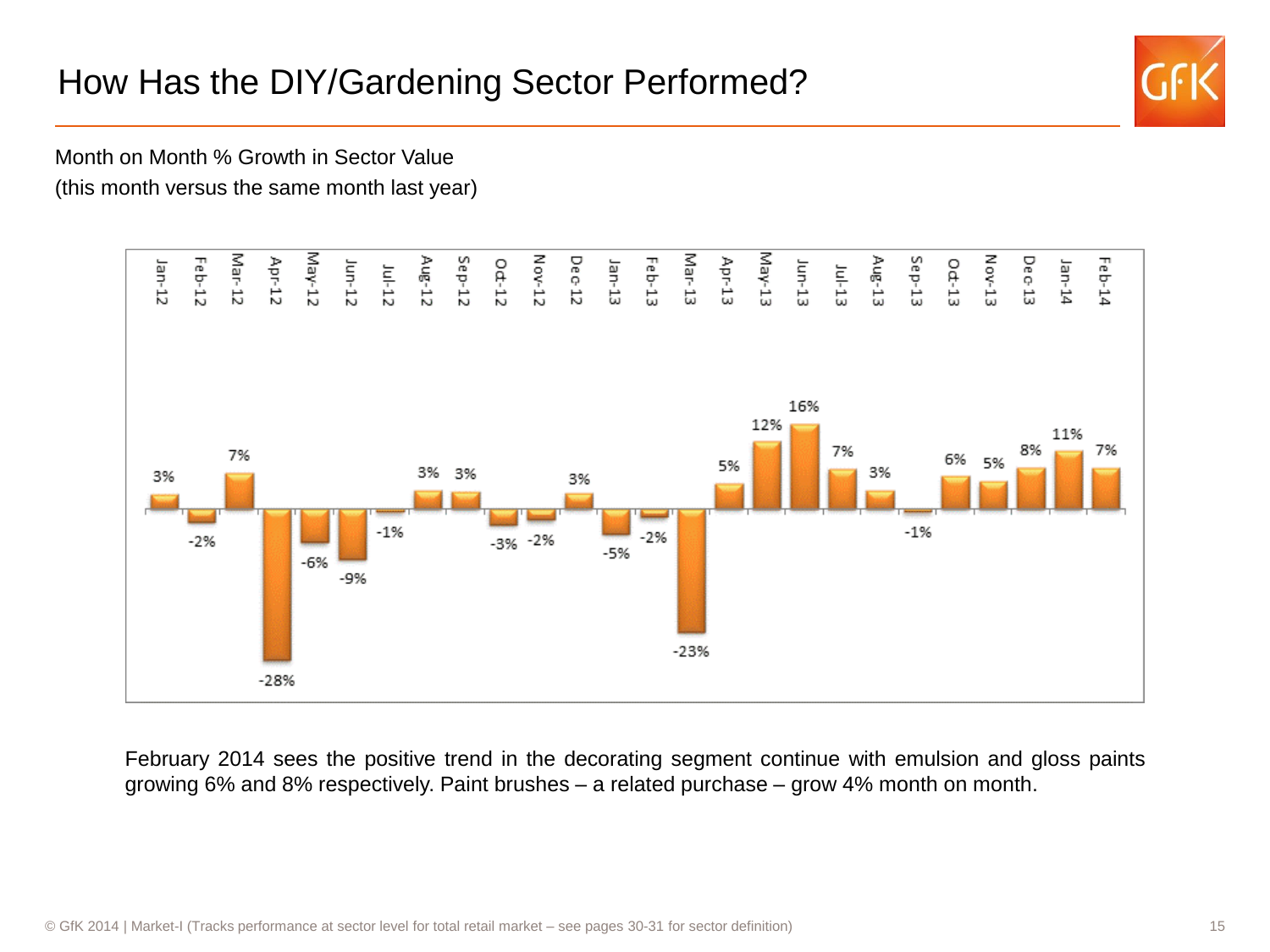## How Has the DIY/Gardening Sector Performed?



Month on Month % Growth in Sector Value (this month versus the same month last year)



February 2014 sees the positive trend in the decorating segment continue with emulsion and gloss paints growing 6% and 8% respectively. Paint brushes – a related purchase – grow 4% month on month.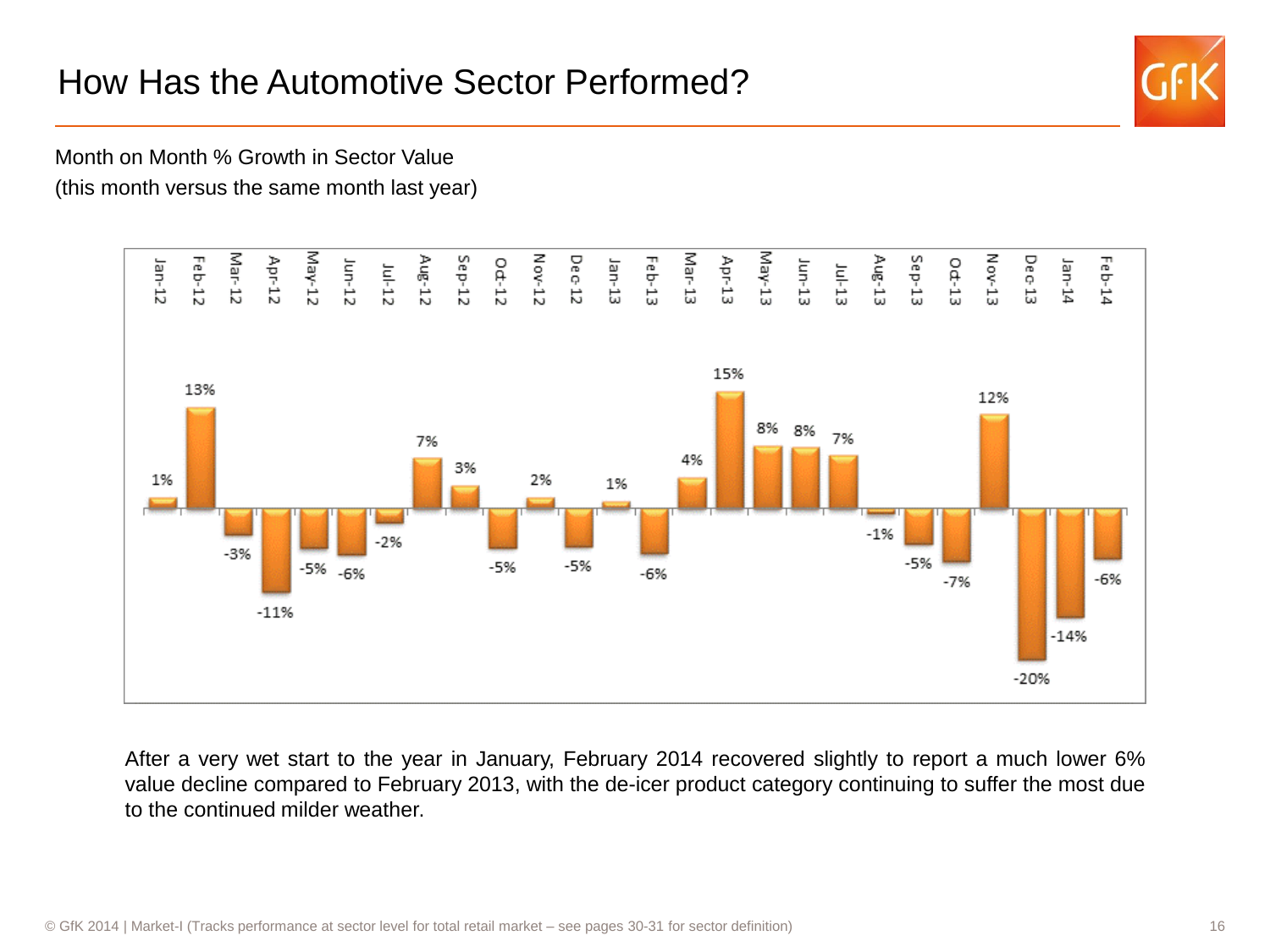## How Has the Automotive Sector Performed?



Month on Month % Growth in Sector Value (this month versus the same month last year)



After a very wet start to the year in January, February 2014 recovered slightly to report a much lower 6% value decline compared to February 2013, with the de-icer product category continuing to suffer the most due to the continued milder weather.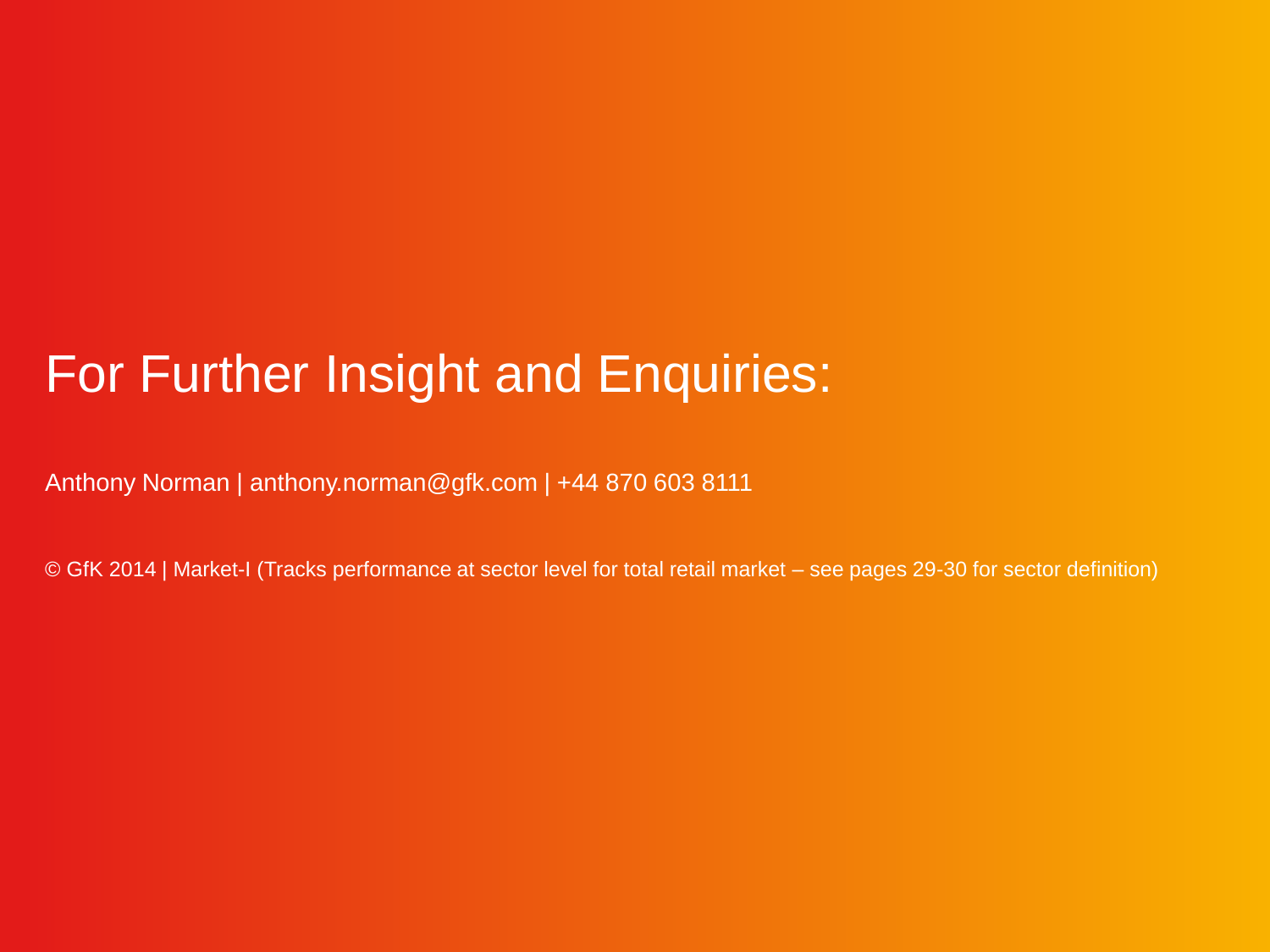## For Further Insight and Enquiries:

Anthony Norman | anthony.norman@gfk.com | +44 870 603 8111

© GfK 2014 | Market-I (Tracks performance at sector level for total retail market – see pages 29-30 for sector definition)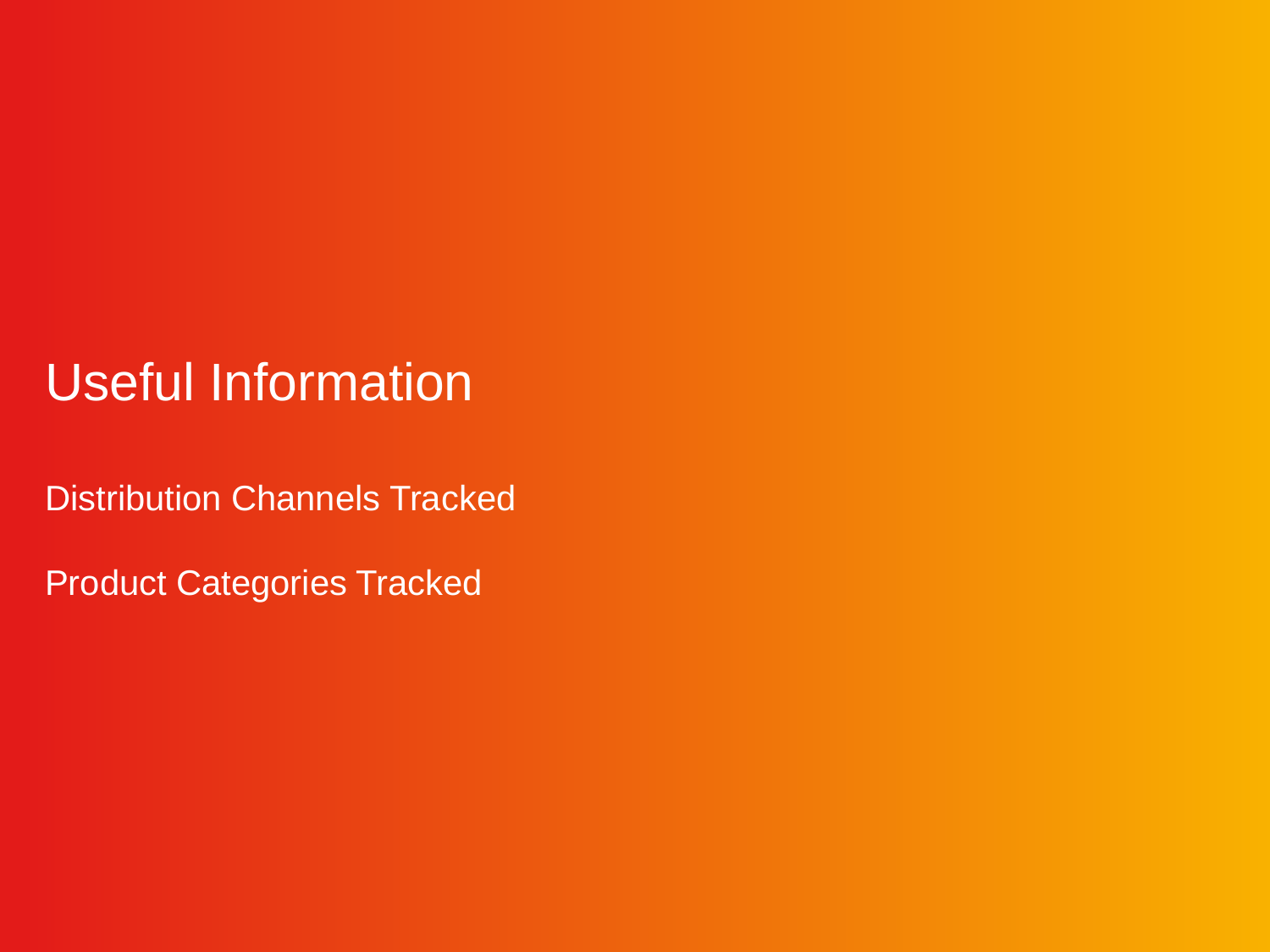## Useful Information

Distribution Channels Tracked

Product Categories Tracked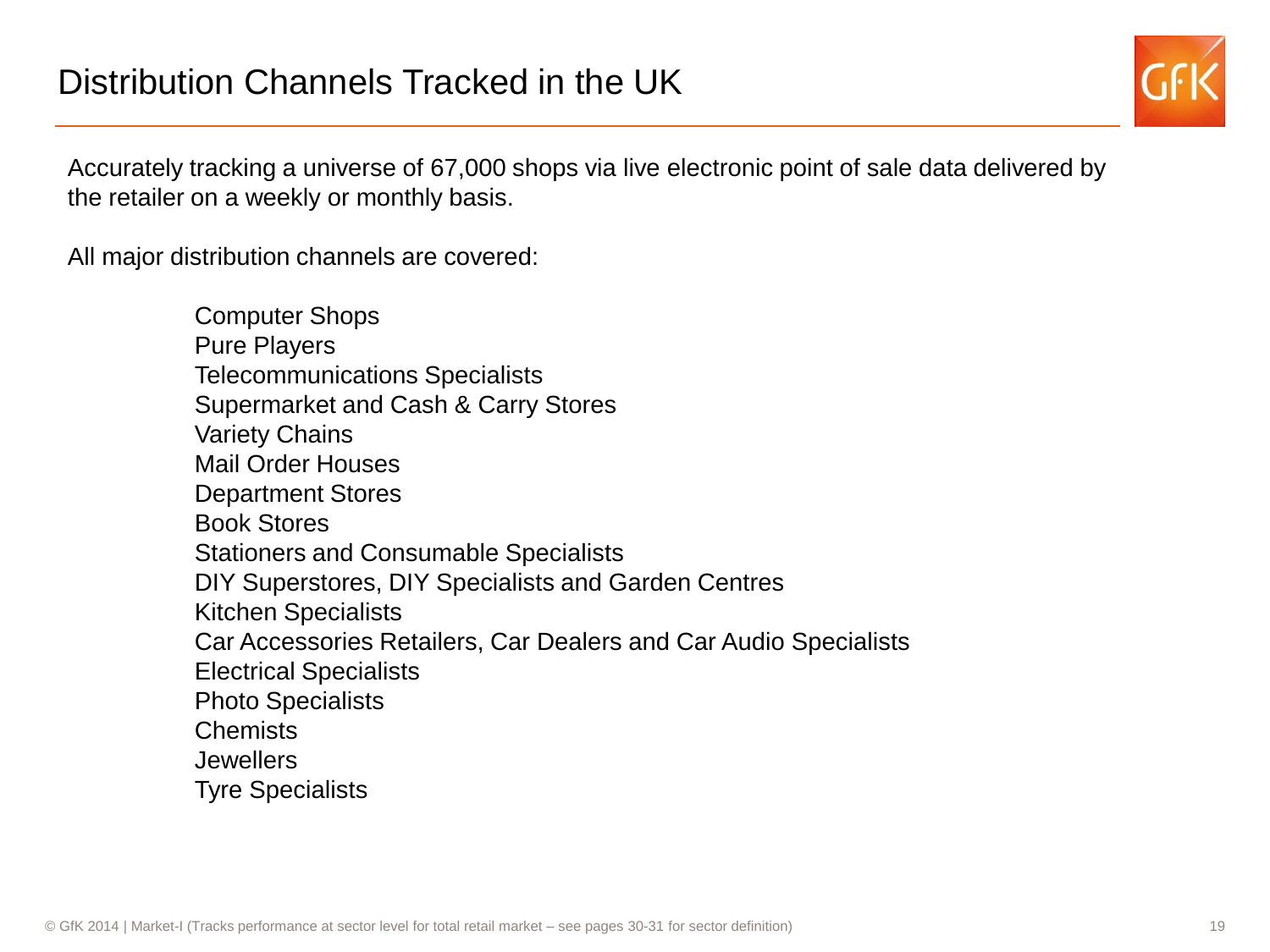Accurately tracking a universe of 67,000 shops via live electronic point of sale data delivered by the retailer on a weekly or monthly basis.

All major distribution channels are covered:

Computer Shops Pure Players Telecommunications Specialists Supermarket and Cash & Carry Stores Variety Chains Mail Order Houses Department Stores Book Stores Stationers and Consumable Specialists DIY Superstores, DIY Specialists and Garden Centres Kitchen Specialists Car Accessories Retailers, Car Dealers and Car Audio Specialists Electrical Specialists Photo Specialists Chemists **Jewellers** Tyre Specialists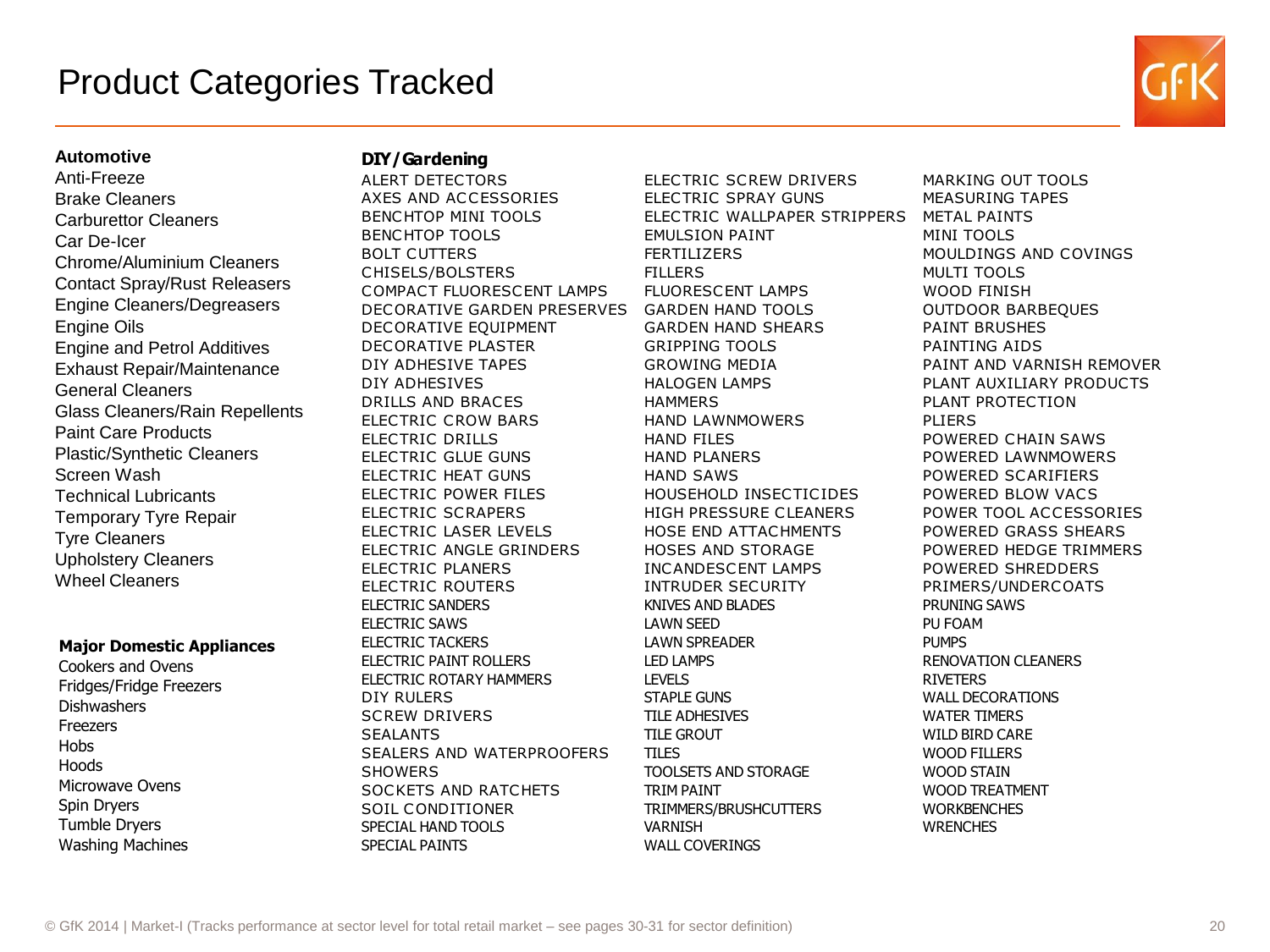

#### **Automotive**

### Anti-Freeze Brake Cleaners Carburettor Cleaners Car De-Icer Chrome/Aluminium Cleaners Contact Spray/Rust Releasers Engine Cleaners/Degreasers Engine Oils Engine and Petrol Additives Exhaust Repair/Maintenance General Cleaners Glass Cleaners/Rain Repellents Paint Care Products Plastic/Synthetic Cleaners Screen Wash Technical Lubricants Temporary Tyre Repair Tyre Cleaners Upholstery Cleaners Wheel Cleaners

#### **Major Domestic Appliances**

Cookers and Ovens Fridges/Fridge Freezers **Dishwashers Freezers** Hobs Hoods Microwave Ovens Spin Dryers Tumble Dryers Washing Machines

### **DIY/Gardening**

BENCHTOP TOOLS **EMULSION PAINT MINI TOOLS** BOLT CUTTERS FERTILIZERS FERTILIZERS MOULDINGS AND COVINGS CHISELS/BOLSTERS FILLERS MULTI TOOLS COMPACT FLUORESCENT LAMPS FLUORESCENT LAMPS WOOD FINISH DECORATIVE GARDEN PRESERVES GARDEN HAND TOOLS OUTDOOR BARBEQUES DECORATIVE EQUIPMENT GARDEN HAND SHEARS PAINT BRUSHES DECORATIVE PLASTER GRIPPING TOOLS PAINTING AIDS DIY ADHESIVE TAPES GROWING MEDIA PAINT AND VARNISH REMOVER DIY ADHESIVES HALOGEN LAMPS PLANT AUXILIARY PRODUCTS DRILLS AND BRACES HAMMERS PLANT PROTECTION ELECTRIC CROW BARS HAND LAWNMOWERS PLIERS DIT ADTESTIVE TAPES<br>
DIY ADHESIVES HALOGEN LAMPS PLANT AUXILIARY PRODUNT AND BRACES HAMMERS<br>
ELECTRIC CROW BARS HAND LAWNMOWERS PLIERS<br>
PLANT PROTECTION<br>
ELECTRIC GILIE GIJNS HAND PLANERS POWERED CHAIN SAWS<br>
FLECTRIC GIJLE ELECTRIC GLUE GUNS HAND PLANERS POWERED LAWNMOWERS ELECTRIC CROW BARS<br>
ELECTRIC CROW BARS<br>
ELECTRIC DRILLS HAND FILES POWERED CHAIN SAWS<br>
ELECTRIC GLUE GUNS HAND PLANERS POWERED LAWNMOWEI<br>
ELECTRIC HEAT GUNS HAND SAWS POWERED SCARIFIERS<br>
FLECTRIC POWER FILES HOUSEHOLD INSE ELECTRIC CROW BARS THAND BAWWHOWERS THERES<br>
ELECTRIC GLUE GUNS HAND FILES POWERED CHAIN SAW:<br>
ELECTRIC HEAT GUNS HAND SAWS POWERED LAWNMOWE<br>
ELECTRIC FOWER FILES HOUSEHOLD INSECTICIDES POWERED BLOW VACS<br>
FIFCTRIC SCRAPERS ELECTRIC BRILLS<br>
ELECTRIC GLUE GUNS<br>
ELECTRIC HEAT GUNS<br>
ELECTRIC POWER FILES<br>
ELECTRIC SCRAPERS HIGH PRESSURE CLEANERS<br>
POWER TOOL ACCESSORIES<br>
FIFCTRIC LASER LEVELS<br>
HIGH PRESSURE CLEANERS POWER TOOL ACCESSORIES<br>
POWER T ELECTRIC LASER LEVELS HOSE END ATTACHMENTS POWERED GRASS SHEARS ELECTRIC HEAT GONS<br>
ELECTRIC POWER FILES HOUSEHOLD INSECTICIDES POWERED BLOW VACS<br>
ELECTRIC LASER LEVELS HOSE END ATTACHMENTS POWER TOOL ACCESSORIES<br>
ELECTRIC LASER LEVELS HOSES AND STORAGE POWERED HEDGE TRIMMERS<br>
FIFCTRIC ELECTRIC FOWER TIES<br>
ELECTRIC SCRAPERS HIGH PRESSURE CLEANERS POWER TOOL ACCESS<br>
ELECTRIC LASER LEVELS HOSE END ATTACHMENTS POWERED GRASS SHEA<br>
ELECTRIC ANGLE GRINDERS HOSES AND STORAGE POWERED HEDGE TRIM<br>
ELECTRIC PLANERS ELECTRIC LASER LEVELS<br>
ELECTRIC LASER LEVELS<br>
ELECTRIC ANGLE GRINDERS HOSES AND STORAGE POWERED HEDGE TRIMI<br>
ELECTRIC PLANERS INCANDESCENT LAMPS POWERED SHREDDERS<br>
ELECTRIC ROUTERS INTRUDER SECURITY PRIMERS/UNDERCOATS<br>
FIF ELECTRIC SANDERS KNIVES AND BLADES PRUNING SAWS ELECTRIC SAWS **ELECTRIC SAWS LAWN SEED ELECTRIC SAWS** ELECTRIC TACKERS LAWN SPREADER FOR THE PUMPS ELECTRIC PAINT ROLLERS LED LAMPS LED LAMPS RENOVATION CLEANERS ELECTRIC ROTARY HAMMERS LEVELS LEVELS AND RIVETERS DIY RULERS STAPLE GUNS STAPLE GUNS WALL DECORATIONS SCREW DRIVERS TILE ADHESIVES WATER TIMERS SEALANTS TILE GROUT TO THE GROUT WILD BIRD CARE SEALERS AND WATERPROOFERS TILES WOOD FILLERS SHOWERS TOOLSETS AND STORAGE WOOD STAIN SOCKETS AND RATCHETS TRIM PAINT THE TRIM PAINT WOOD TREATMENT SOIL CONDITIONER TRIMMERS/BRUSHCUTTERS WORKBENCHES SPECIAL HAND TOOLS VARNISH WRENCHES SPECIAL PAINTS WALL COVERINGS

**DIY/Gardening**<br>ALERT DETECTORS ELECTRIC SCREW DRIVERS MARKING OUT TOOLS<br>AXES AND ACCESSORIES FIECTRIC SPRAY GUNS MEASURING TAPES **DIY/Gardening**<br>ALERT DETECTORS ELECTRIC SCREW DRIVERS MARKING OUT TOO<br>AXES AND ACCESSORIES ELECTRIC SPRAY GUNS MEASURING TAPES<br>RENCHTOP MINI TOOLS ELECTRIC WALLPAPER STRIPPERS METAL PAINTS BENCHTOP MINI TOOLS ELECTRIC WALLPAPER STRIPPERS METAL PAINTS